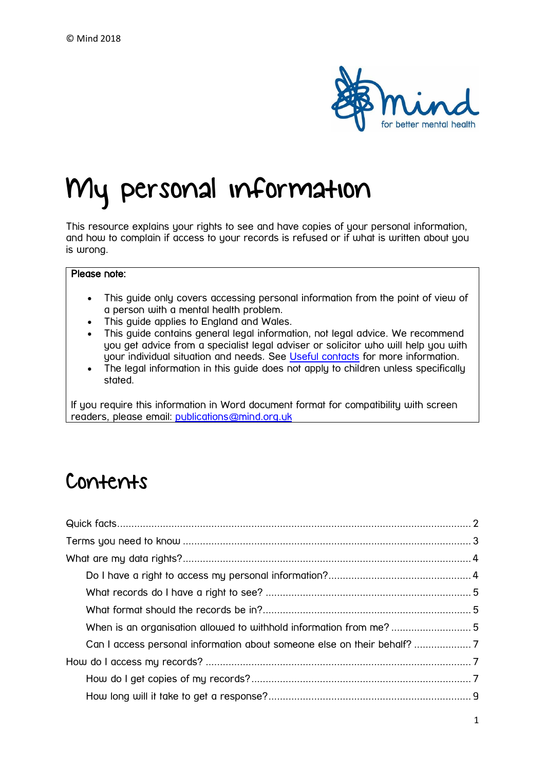

# My personal information

This resource explains your rights to see and have copies of your personal information, and how to complain if access to your records is refused or if what is written about you is wrong.

#### Please note:

- This guide only covers accessing personal information from the point of view of a person with a mental health problem.
- This guide applies to England and Wales.
- This guide contains general legal information, not legal advice. We recommend you get advice from a specialist legal adviser or solicitor who will help you with your individual situation and needs. See [Useful contacts](https://www.mind.org.uk/information-support/legal-rights/personal-information/useful-contacts/) for more information.
- The legal information in this guide does not apply to children unless specifically stated.

If you require this information in Word document format for compatibility with screen readers, please email: [publications@mind.org.uk](mailto:publications@mind.org.uk)

## Contents

| When is an organisation allowed to withhold information from me?5       |  |
|-------------------------------------------------------------------------|--|
| Can I access personal information about someone else on their behalf? 7 |  |
|                                                                         |  |
|                                                                         |  |
|                                                                         |  |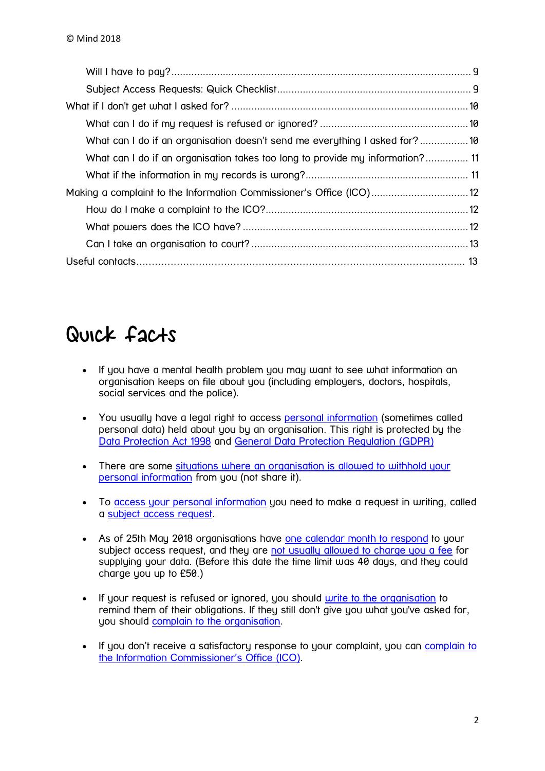| What can I do if an organisation doesn't send me everything I asked for?10    |  |
|-------------------------------------------------------------------------------|--|
| What can I do if an organisation takes too long to provide my information? 11 |  |
|                                                                               |  |
| Making a complaint to the Information Commissioner's Office (ICO) 12          |  |
|                                                                               |  |
|                                                                               |  |
|                                                                               |  |
|                                                                               |  |

## <span id="page-1-0"></span>Quick facts

- If you have a mental health problem you may want to see what information an organisation keeps on file about you (including employers, doctors, hospitals, social services and the police).
- You usually have a legal right to access [personal information](https://www.mind.org.uk/information-support/new-legal-publications/my-personal-information-know-your-rights/terms-you-need-to-know/#Personal_information) (sometimes called personal data) held about you by an organisation. This right is protected by the [Data Protection Act 1998](https://www.mind.org.uk/information-support/new-legal-publications/my-personal-information-know-your-rights/terms-you-need-to-know/#Data_Protection_Act_1998) and [General Data Protection Regulation](https://www.mind.org.uk/information-support/legal-rights/personal-information/terms-you-need-to-know/#GDPR) (GDPR)
- There are some situations where an organisation is allowed to withhold your [personal information](https://www.mind.org.uk/information-support/legal-rights/personal-information/my-personal-data-rights/#exceptions) from you (not share it).
- To [access your personal information](https://www.mind.org.uk/information-support/legal-rights/personal-information/how-to-ask-for-your-personal-data/) you need to make a request in writing, called a [subject access request.](https://www.mind.org.uk/information-support/new-legal-publications/my-personal-information-know-your-rights/terms-you-need-to-know/#Subject_Access_Request)
- As of 25th May 2018 organisations have [one calendar month to respond](https://www.mind.org.uk/information-support/legal-rights/personal-information/how-do-i-get-copies/#two) to your subject access request, and they are [not usually allowed to charge you a fee](https://www.mind.org.uk/information-support/legal-rights/personal-information/how-do-i-get-copies/#three) for supplying your data. (Before this date the time limit was 40 days, and they could charge you up to £50.)
- If your request is refused or ignored, you should [write to the organisation](https://www.mind.org.uk/information-support/new-legal-publications/my-personal-information-know-your-rights/what-if-i-dont-get-what-i-asked-for/#one) to remind them of their obligations. If they still don't give you what you've asked for, you should [complain to the organisation.](https://www.mind.org.uk/information-support/new-legal-publications/my-personal-information-know-your-rights/what-if-i-dont-get-what-i-asked-for/#one)
- If you don't receive a satisfactory response to your complaint, you can complain to [the Information Commissioner's Office \(ICO\)](https://www.mind.org.uk/information-support/new-legal-publications/my-personal-information-know-your-rights/how-can-i-complain/#one).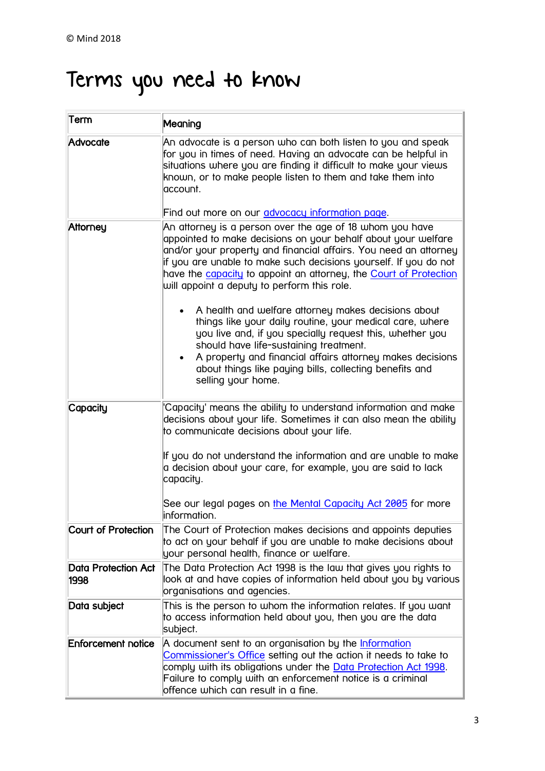# <span id="page-2-0"></span>Terms you need to know

| Term                        | Meaning                                                                                                                                                                                                                                                                                                                                                                               |
|-----------------------------|---------------------------------------------------------------------------------------------------------------------------------------------------------------------------------------------------------------------------------------------------------------------------------------------------------------------------------------------------------------------------------------|
| Advocate                    | An advocate is a person who can both listen to you and speak<br>for you in times of need. Having an advocate can be helpful in<br>situations where you are finding it difficult to make your views<br>known, or to make people listen to them and take them into<br>account.                                                                                                          |
|                             | Find out more on our <i>advocacy information page</i> .                                                                                                                                                                                                                                                                                                                               |
| Attorney                    | An attorney is a person over the age of 18 whom you have<br>appointed to make decisions on your behalf about your welfare<br>and/or your property and financial affairs. You need an attorney<br>if you are unable to make such decisions yourself. If you do not<br>have the capacity to appoint an attorney, the Court of Protection<br>will appoint a deputy to perform this role. |
|                             | A health and welfare attorney makes decisions about<br>things like your daily routine, your medical care, where<br>you live and, if you specially request this, whether you<br>should have life-sustaining treatment.<br>A property and financial affairs attorney makes decisions<br>about things like paying bills, collecting benefits and<br>selling your home.                   |
| Capacity                    | 'Capacity' means the ability to understand information and make<br>decisions about your life. Sometimes it can also mean the ability<br>to communicate decisions about your life.                                                                                                                                                                                                     |
|                             | If you do not understand the information and are unable to make<br>a decision about your care, for example, you are said to lack<br>capacity.                                                                                                                                                                                                                                         |
|                             | See our legal pages on <u>the Mental Capacity Act 2005</u> for more<br>information.                                                                                                                                                                                                                                                                                                   |
| Court of Protection         | The Court of Protection makes decisions and appoints deputies<br>to act on your behalf if you are unable to make decisions about<br>your personal health, finance or welfare.                                                                                                                                                                                                         |
| Data Protection Act<br>1998 | The Data Protection Act 1998 is the law that gives you rights to<br>look at and have copies of information held about you by various<br>organisations and agencies.                                                                                                                                                                                                                   |
| Data subject                | This is the person to whom the information relates. If you want<br>to access information held about you, then you are the data<br>subject.                                                                                                                                                                                                                                            |
| <b>Enforcement notice</b>   | A document sent to an organisation by the <b>Information</b><br>Commissioner's Office setting out the action it needs to take to<br>comply with its obligations under the Data Protection Act 1998.<br>Failure to comply with an enforcement notice is a criminal<br>offence which can result in a fine.                                                                              |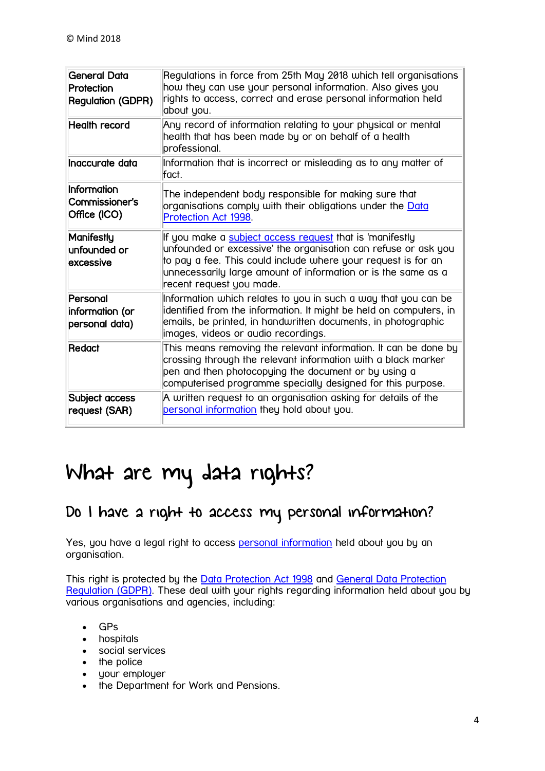| General Data<br>Protection<br><b>Regulation (GDPR)</b> | Regulations in force from 25th May 2018 which tell organisations<br>how they can use your personal information. Also gives you<br>rights to access, correct and erase personal information held<br>about you.                                                                            |
|--------------------------------------------------------|------------------------------------------------------------------------------------------------------------------------------------------------------------------------------------------------------------------------------------------------------------------------------------------|
| <b>Health record</b>                                   | Any record of information relating to your physical or mental<br>health that has been made by or on behalf of a health<br>professional.                                                                                                                                                  |
| Inaccurate data                                        | Information that is incorrect or misleading as to any matter of<br>fact.                                                                                                                                                                                                                 |
| Information<br>Commissioner's<br>Office (ICO)          | The independent body responsible for making sure that<br>organisations comply with their obligations under the Data<br>Protection Act 1998.                                                                                                                                              |
| Manifestly<br>unfounded or<br>excessive                | If you make a subject access request that is 'manifestly<br>unfounded or excessive' the organisation can refuse or ask you<br>to pay a fee. This could include where your request is for an<br>unnecessarily large amount of information or is the same as a<br>recent request you made. |
| Personal<br>information (or<br>personal data)          | Information which relates to you in such a way that you can be<br>identified from the information. It might be held on computers, in<br>emails, be printed, in handwritten documents, in photographic<br>images, videos or audio recordings.                                             |
| Redact                                                 | This means removing the relevant information. It can be done by<br>crossing through the relevant information with a black marker<br>pen and then photocopying the document or by using a<br>computerised programme specially designed for this purpose.                                  |
| Subject access<br>request (SAR)                        | A written request to an organisation asking for details of the<br>personal information they hold about you.                                                                                                                                                                              |

## <span id="page-3-0"></span>What are my data rights?

### <span id="page-3-1"></span>Do I have a right to access my personal information?

Yes, you have a legal right to access [personal information](https://www.mind.org.uk/information-support/new-legal-publications/my-personal-information-know-your-rights/terms-you-need-to-know/#Personal_information) held about you by an organisation.

This right is protected by the [Data Protection Act 1998](https://www.mind.org.uk/information-support/new-legal-publications/my-personal-information-know-your-rights/terms-you-need-to-know/#Data_Protection_Act_1998) and [General Data Protection](https://www.mind.org.uk/information-support/legal-rights/personal-information/terms-you-need-to-know/#GDPR)  [Regulation](https://www.mind.org.uk/information-support/legal-rights/personal-information/terms-you-need-to-know/#GDPR) (GDPR). These deal with your rights regarding information held about you by various organisations and agencies, including:

- $-$  GPs
- hospitals
- social services
- the police
- your employer
- the Department for Work and Pensions.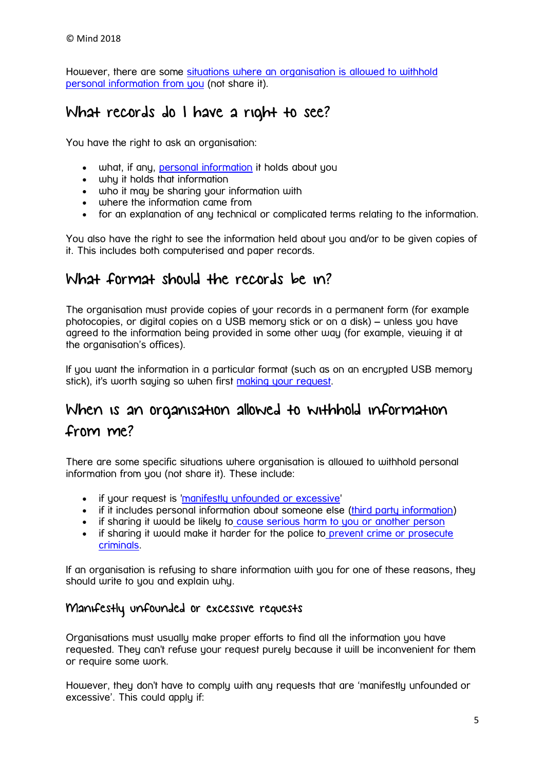However, there are some [situations where an organisation is allowed to withhold](https://www.mind.org.uk/information-support/legal-rights/personal-information/your-personal-data-rights/#exceptions)  [personal information from you](https://www.mind.org.uk/information-support/legal-rights/personal-information/your-personal-data-rights/#exceptions) (not share it).

### <span id="page-4-0"></span>What records do I have a right to see?

You have the right to ask an organisation:

- what, if any, [personal information](https://www.mind.org.uk/information-support/new-legal-publications/my-personal-information-know-your-rights/terms-you-need-to-know/#Personal_information) it holds about you
- why it holds that information
- who it may be sharing your information with
- where the information came from
- for an explanation of any technical or complicated terms relating to the information.

You also have the right to see the information held about you and/or to be given copies of it. This includes both computerised and paper records.

### <span id="page-4-1"></span>What format should the records be in?

The organisation must provide copies of your records in a permanent form (for example photocopies, or digital copies on a USB memory stick or on a disk) – unless you have agreed to the information being provided in some other way (for example, viewing it at the organisation's offices).

If you want the information in a particular format (such as on an encrypted USB memory stick), it's worth saying so when first [making your request.](https://www.mind.org.uk/information-support/legal-rights/personal-information/how-to-ask-for-your-personal-data/)

### <span id="page-4-2"></span>When is an organisation allowed to withhold information

### from me?

There are some specific situations where organisation is allowed to withhold personal information from you (not share it). These include:

- if your request is ['manifestly unfounded or excessive'](https://www.mind.org.uk/information-support/legal-rights/personal-information/your-personal-data-rights/#MUE)
- if it includes personal information about someone else [\(third party information\)](https://www.mind.org.uk/information-support/legal-rights/personal-information/your-personal-data-rights/#thirdparty)
- if sharing it would be likely to [cause serious harm to you or another person](https://www.mind.org.uk/information-support/legal-rights/personal-information/your-personal-data-rights/#harm)
- if sharing it would make it harder for the police to prevent crime or prosecute [criminals.](https://www.mind.org.uk/information-support/legal-rights/personal-information/your-personal-data-rights/#crime)

If an organisation is refusing to share information with you for one of these reasons, they should write to you and explain why.

#### Manifestly unfounded or excessive requests

Organisations must usually make proper efforts to find all the information you have requested. They can't refuse your request purely because it will be inconvenient for them or require some work.

However, they don't have to comply with any requests that are 'manifestly unfounded or excessive'. This could apply if: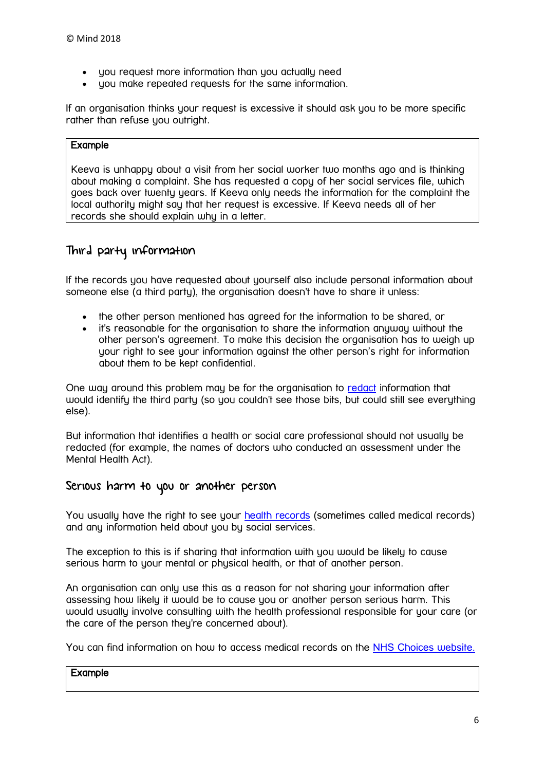- you request more information than you actually need
- you make repeated requests for the same information.

If an organisation thinks your request is excessive it should ask you to be more specific rather than refuse you outright.

#### Example

Keeva is unhappy about a visit from her social worker two months ago and is thinking about making a complaint. She has requested a copy of her social services file, which goes back over twenty years. If Keeva only needs the information for the complaint the local authority might say that her request is excessive. If Keeva needs all of her records she should explain why in a letter.

### Third party information

If the records you have requested about yourself also include personal information about someone else (a third party), the organisation doesn't have to share it unless:

- the other person mentioned has agreed for the information to be shared, or
- it's reasonable for the organisation to share the information anyway without the other person's agreement. To make this decision the organisation has to weigh up your right to see your information against the other person's right for information about them to be kept confidential.

One way around this problem may be for the organisation to [redact](https://www.mind.org.uk/information-support/new-legal-publications/my-personal-information-know-your-rights/terms-you-need-to-know/#Redact) information that would identify the third party (so you couldn't see those bits, but could still see everything else).

But information that identifies a health or social care professional should not usually be redacted (for example, the names of doctors who conducted an assessment under the Mental Health Act).

#### Serious harm to you or another person

You usually have the right to see your [health records](https://www.mind.org.uk/information-support/legal-rights/personal-information/terms-you-need-to-know/#record) (sometimes called medical records) and any information held about you by social services.

The exception to this is if sharing that information with you would be likely to cause serious harm to your mental or physical health, or that of another person.

An organisation can only use this as a reason for not sharing your information after assessing how likely it would be to cause you or another person serious harm. This would usually involve consulting with the health professional responsible for your care (or the care of the person they're concerned about).

You can find information on how to access medical records on the [NHS Choices website.](http://www.nhs.uk/chq/pages/1309.aspx?categoryid=68)

#### Example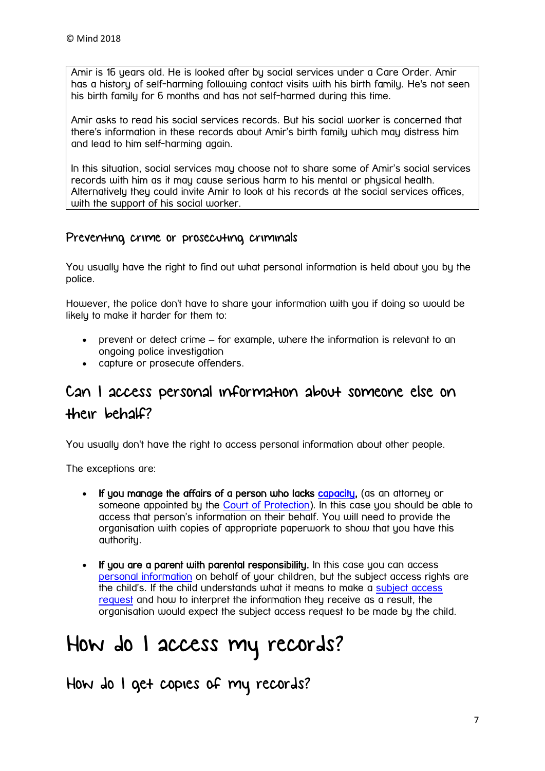Amir is 16 years old. He is looked after by social services under a Care Order. Amir has a history of self-harming following contact visits with his birth family. He's not seen his birth family for 6 months and has not self-harmed during this time.

Amir asks to read his social services records. But his social worker is concerned that there's information in these records about Amir's birth family which may distress him and lead to him self-harming again.

In this situation, social services may choose not to share some of Amir's social services records with him as it may cause serious harm to his mental or physical health. Alternatively they could invite Amir to look at his records at the social services offices, with the support of his social worker.

#### Preventing crime or prosecuting criminals

You usually have the right to find out what personal information is held about you by the police.

However, the police don't have to share your information with you if doing so would be likely to make it harder for them to:

- prevent or detect crime for example, where the information is relevant to an ongoing police investigation
- capture or prosecute offenders.

### <span id="page-6-0"></span>Can I access personal information about someone else on their behalf?

You usually don't have the right to access personal information about other people.

The exceptions are:

- If you manage the affairs of a person who lacks [capacity,](https://www.mind.org.uk/information-support/new-legal-publications/my-personal-information-know-your-rights/terms-you-need-to-know/#Capacity) (as an attorney or someone appointed by the [Court of Protection\)](https://www.mind.org.uk/information-support/new-legal-publications/my-personal-information-know-your-rights/terms-you-need-to-know/#Court_of_Protection). In this case you should be able to access that person's information on their behalf. You will need to provide the organisation with copies of appropriate paperwork to show that you have this authority.
- If you are a parent with parental responsibility. In this case you can access [personal information](https://www.mind.org.uk/information-support/new-legal-publications/my-personal-information-know-your-rights/terms-you-need-to-know/#Personal_information) on behalf of your children, but the subject access rights are the child's. If the child understands what it means to make a [subject access](https://www.mind.org.uk/information-support/new-legal-publications/my-personal-information-know-your-rights/terms-you-need-to-know/#Subject_Access_Request)  [request](https://www.mind.org.uk/information-support/new-legal-publications/my-personal-information-know-your-rights/terms-you-need-to-know/#Subject_Access_Request) and how to interpret the information they receive as a result, the organisation would expect the subject access request to be made by the child.

## <span id="page-6-1"></span>How do I access my records?

<span id="page-6-2"></span>How do I get copies of my records?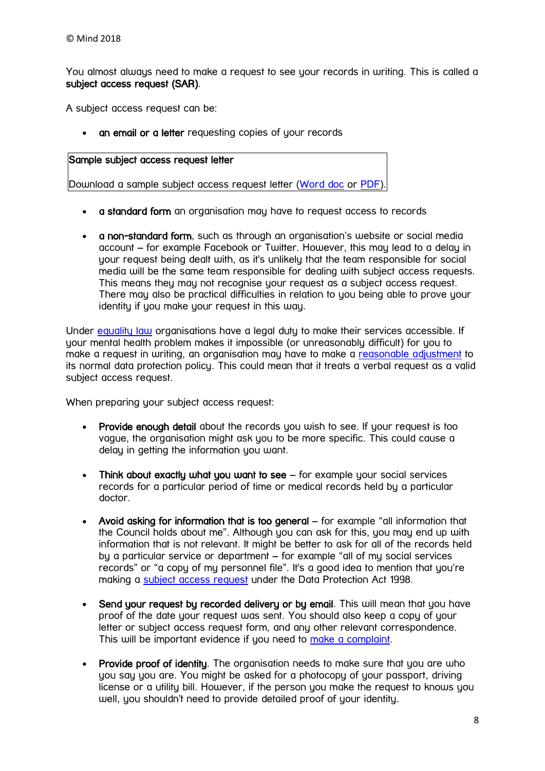You almost always need to make a request to see your records in writing. This is called a subject access request (SAR).

A subject access request can be:

an email or a letter requesting copies of your records

#### Sample subject access request letter

Download a sample subject access request letter [\(Word doc](https://www.mind.org.uk/media/927394/letter-template-1.docx) or [PDF\)](https://www.mind.org.uk/media/927395/letter-template-1.pdf).

- a standard form an organisation may have to request access to records
- a non-standard form, such as through an organisation's website or social media account – for example Facebook or Twitter. However, this may lead to a delay in your request being dealt with, as it's unlikely that the team responsible for social media will be the same team responsible for dealing with subject access requests. This means they may not recognise your request as a subject access request. There may also be practical difficulties in relation to you being able to prove your identity if you make your request in this way.

Under [equality law](https://www.mind.org.uk/information-support/legal-rights/disability-discrimination/terms-you-need-to-know/#equalityact) organisations have a legal duty to make their services accessible. If your mental health problem makes it impossible (or unreasonably difficult) for you to make a request in writing, an organisation may have to make a [reasonable adjustment](https://www.mind.org.uk/information-support/legal-rights/disability-discrimination/terms-you-need-to-know/#reasonableadjustment) to its normal data protection policy. This could mean that it treats a verbal request as a valid subject access request.

When preparing your subject access request:

- Provide enough detail about the records you wish to see. If your request is too vague, the organisation might ask you to be more specific. This could cause a delay in getting the information you want.
- $\bullet$  Think about exactly what you want to see  $-$  for example your social services records for a particular period of time or medical records held by a particular doctor.
- Avoid asking for information that is too general for example "all information that the Council holds about me". Although you can ask for this, you may end up with information that is not relevant. It might be better to ask for all of the records held by a particular service or department – for example "all of my social services records" or "a copy of my personnel file". It's a good idea to mention that you're making a [subject access request](https://www.mind.org.uk/information-support/new-legal-publications/my-personal-information-know-your-rights/terms-you-need-to-know/#Subject_Access_Request) under the Data Protection Act 1998.
- Send your request by recorded delivery or by email. This will mean that you have proof of the date your request was sent. You should also keep a copy of your letter or subject access request form, and any other relevant correspondence. This will be important evidence if you need to [make a complaint.](https://www.mind.org.uk/information-support/legal-rights/personal-information/complaining-to-the-ico/)
- Provide proof of identity. The organisation needs to make sure that you are who you say you are. You might be asked for a photocopy of your passport, driving license or a utility bill. However, if the person you make the request to knows you well, you shouldn't need to provide detailed proof of your identity.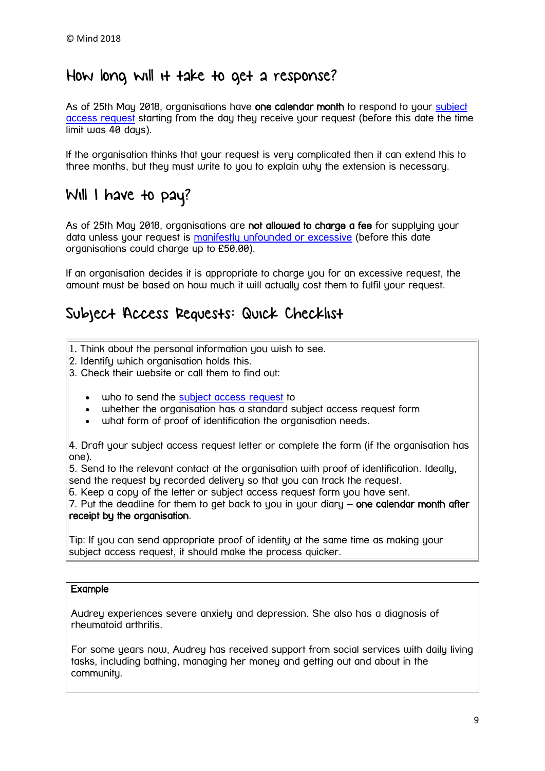### <span id="page-8-0"></span>How long will it take to get a response?

As of 25th May 2018, organisations have one calendar month to respond to your [subject](https://www.mind.org.uk/information-support/new-legal-publications/my-personal-information-know-your-rights/terms-you-need-to-know/#Subject_Access_Request)  [access request](https://www.mind.org.uk/information-support/new-legal-publications/my-personal-information-know-your-rights/terms-you-need-to-know/#Subject_Access_Request) starting from the day they receive your request (before this date the time limit was 40 days).

If the organisation thinks that your request is very complicated then it can extend this to three months, but they must write to you to explain why the extension is necessary.

### <span id="page-8-1"></span>Will I have to pay?

As of 25th May 2018, organisations are not allowed to charge a fee for supplying your data unless your request is [manifestly unfounded or excessive](https://www.mind.org.uk/information-support/legal-rights/personal-information/your-personal-data-rights/#MUE) (before this date organisations could charge up to £50.00).

If an organisation decides it is appropriate to charge you for an excessive request, the amount must be based on how much it will actually cost them to fulfil your request.

### <span id="page-8-2"></span>Subject Access Requests: Quick Checklist

- 1. Think about the personal information you wish to see.
- 2. Identify which organisation holds this.
- 3. Check their website or call them to find out:
	- who to send the [subject access request](https://www.mind.org.uk/information-support/new-legal-publications/my-personal-information-know-your-rights/terms-you-need-to-know/#Subject_Access_Request) to
	- whether the organisation has a standard subject access request form
	- what form of proof of identification the organisation needs.

4. Draft your subject access request letter or complete the form (if the organisation has one).

5. Send to the relevant contact at the organisation with proof of identification. Ideally, send the request by recorded delivery so that you can track the request.

6. Keep a copy of the letter or subject access request form you have sent.

7. Put the deadline for them to get back to you in your diary – one calendar month after receipt by the organisation.

Tip: If you can send appropriate proof of identity at the same time as making your subject access request, it should make the process quicker.

#### Example

Audrey experiences severe anxiety and depression. She also has a diagnosis of rheumatoid arthritis.

For some years now, Audrey has received support from social services with daily living tasks, including bathing, managing her money and getting out and about in the community.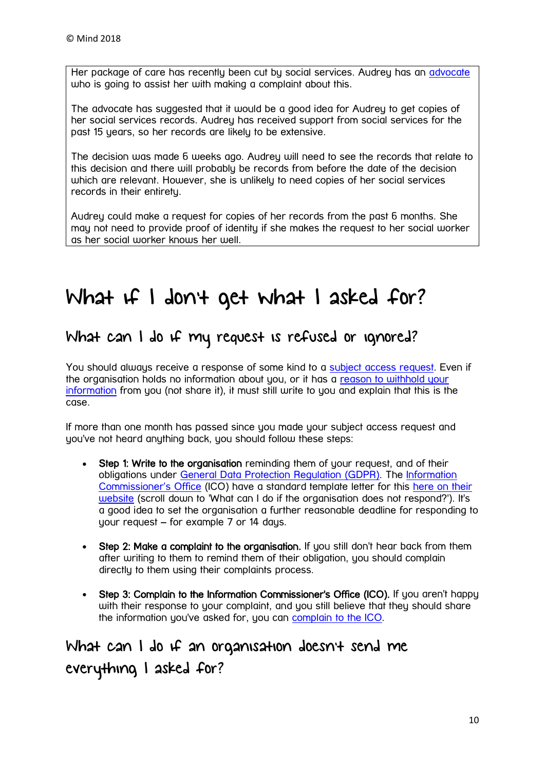Her package of care has recently been cut by social services. Audrey has an [advocate](https://www.mind.org.uk/information-support/new-legal-publications/my-personal-information-know-your-rights/terms-you-need-to-know/#advocate) who is going to assist her with making a complaint about this.

The advocate has suggested that it would be a good idea for Audrey to get copies of her social services records. Audrey has received support from social services for the past 15 years, so her records are likely to be extensive.

The decision was made 6 weeks ago. Audrey will need to see the records that relate to this decision and there will probably be records from before the date of the decision which are relevant. However, she is unlikely to need copies of her social services records in their entirety.

Audrey could make a request for copies of her records from the past 6 months. She may not need to provide proof of identity if she makes the request to her social worker as her social worker knows her well.

## <span id="page-9-0"></span>What if I don't get what I asked for?

### <span id="page-9-1"></span>What can I do if my request is refused or ignored?

You should always receive a response of some kind to a [subject access request.](https://www.mind.org.uk/information-support/new-legal-publications/my-personal-information-know-your-rights/terms-you-need-to-know/#Subject_Access_Request) Even if the organisation holds no information about you, or it has a [reason to withhold your](https://www.mind.org.uk/information-support/legal-rights/personal-information/my-personal-data-rights/#exceptions)  [information](https://www.mind.org.uk/information-support/legal-rights/personal-information/my-personal-data-rights/#exceptions) from you (not share it), it must still write to you and explain that this is the case.

If more than one month has passed since you made your subject access request and you've not heard anything back, you should follow these steps:

- Step 1: Write to the organisation reminding them of your request, and of their obligations under [General Data Protection Regulation](https://www.mind.org.uk/information-support/legal-rights/personal-information/terms-you-need-to-know/#GDPR) (GDPR). The [Information](https://www.mind.org.uk/information-support/new-legal-publications/my-personal-information-know-your-rights/terms-you-need-to-know/#Information_Commissioners_Office)  [Commissioner's Office](https://www.mind.org.uk/information-support/new-legal-publications/my-personal-information-know-your-rights/terms-you-need-to-know/#Information_Commissioners_Office) (ICO) have a standard template letter for this [here on their](http://ico.org.uk/for_the_public/personal_information)  [website](http://ico.org.uk/for_the_public/personal_information) (scroll down to 'What can I do if the organisation does not respond?'). It's a good idea to set the organisation a further reasonable deadline for responding to your request – for example 7 or 14 days.
- Step 2: Make a complaint to the organisation. If you still don't hear back from them after writing to them to remind them of their obligation, you should complain directly to them using their complaints process.
- Step 3: Complain to the Information Commissioner's Office (ICO). If you aren't happy with their response to your complaint, and you still believe that they should share the information you've asked for, you can [complain to the ICO.](https://www.mind.org.uk/information-support/new-legal-publications/my-personal-information-know-your-rights/how-can-i-complain/#top)

<span id="page-9-2"></span>What can I do if an organisation doesn't send me everything I asked for?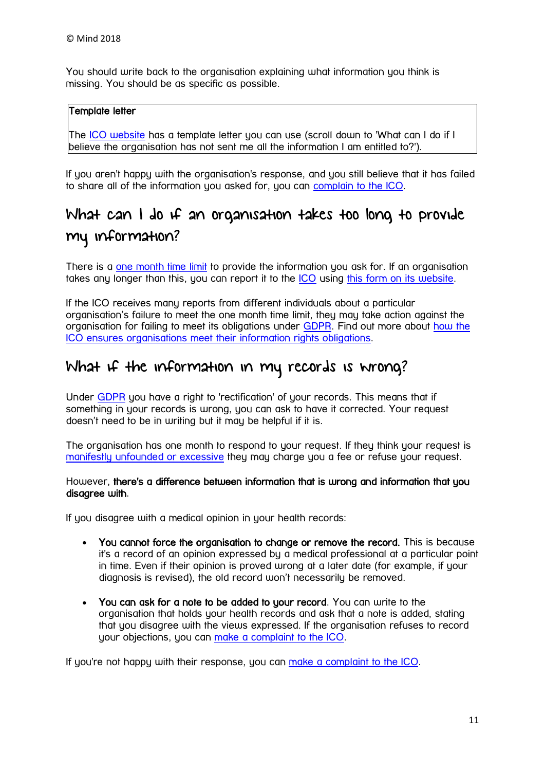You should write back to the organisation explaining what information you think is missing. You should be as specific as possible.

#### Template letter

The [ICO website](https://ico.org.uk/for-the-public/personal-information) has a template letter you can use (scroll down to 'What can I do if I believe the organisation has not sent me all the information I am entitled to?').

If you aren't happy with the organisation's response, and you still believe that it has failed to share all of the information you asked for, you can [complain to the ICO.](https://www.mind.org.uk/information-support/new-legal-publications/my-personal-information-know-your-rights/how-can-i-complain/#one)

### <span id="page-10-0"></span>What can I do if an organisation takes too long to provide my information?

There is a [one month time limit](https://www.mind.org.uk/information-support/legal-rights/personal-information/how-do-i-get-copies/#two) to provide the information you ask for. If an organisation takes any longer than this, you can report it to the [ICO](https://www.mind.org.uk/information-support/new-legal-publications/my-personal-information-know-your-rights/terms-you-need-to-know/#Information_Commissioners_Office) using [this form on its website.](http://ico.org.uk/concerns/getting/report_concern)

If the ICO receives many reports from different individuals about a particular organisation's failure to meet the one month time limit, they may take action against the organisation for failing to meet its obligations under [GDPR.](https://www.mind.org.uk/information-support/legal-rights/personal-information/terms-you-need-to-know/) Find out more about [how the](http://ico.org.uk/enforcement)  [ICO ensures organisations meet their information rights obligations.](http://ico.org.uk/enforcement)

### <span id="page-10-1"></span>What if the information in my records is wrong?

Under [GDPR](https://www.mind.org.uk/information-support/legal-rights/personal-information/terms-you-need-to-know/) you have a right to 'rectification' of your records. This means that if something in your records is wrong, you can ask to have it corrected. Your request doesn't need to be in writing but it may be helpful if it is.

The organisation has one month to respond to your request. If they think your request is [manifestly unfounded or excessive](https://www.mind.org.uk/information-support/legal-rights/personal-information/your-personal-data-rights/#MUE) they may charge you a fee or refuse your request.

#### However, there's a difference between information that is wrong and information that you disagree with.

If you disagree with a medical opinion in your health records:

- You cannot force the organisation to change or remove the record. This is because it's a record of an opinion expressed by a medical professional at a particular point in time. Even if their opinion is proved wrong at a later date (for example, if your diagnosis is revised), the old record won't necessarily be removed.
- You can ask for a note to be added to your record. You can write to the organisation that holds your health records and ask that a note is added, stating that you disagree with the views expressed. If the organisation refuses to record your objections, you can [make a complaint to the ICO.](https://www.mind.org.uk/information-support/new-legal-publications/my-personal-information-know-your-rights/how-can-i-complain/#one)

If you're not happy with their response, you can [make a complaint to the ICO.](https://www.mind.org.uk/information-support/new-legal-publications/my-personal-information-know-your-rights/how-can-i-complain/#one)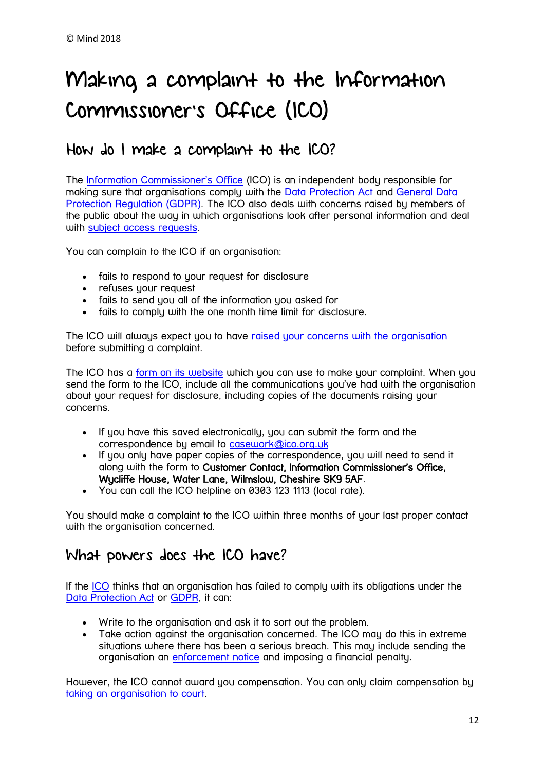## <span id="page-11-0"></span>Making a complaint to the Information Commissioner's Office (ICO)

### <span id="page-11-1"></span>How do I make a complaint to the ICO?

The [Information Commissioner's Office](https://www.mind.org.uk/information-support/new-legal-publications/my-personal-information-know-your-rights/terms-you-need-to-know/#Information_Commissioners_Office) (ICO) is an independent body responsible for making sure that organisations comply with the [Data Protection Act](https://www.mind.org.uk/information-support/new-legal-publications/my-personal-information-know-your-rights/terms-you-need-to-know/#Data_Protection_Act_1998) and [General Data](https://www.mind.org.uk/information-support/legal-rights/personal-information/terms-you-need-to-know/#GDPR)  [Protection Regulation](https://www.mind.org.uk/information-support/legal-rights/personal-information/terms-you-need-to-know/#GDPR) (GDPR). The ICO also deals with concerns raised by members of the public about the way in which organisations look after personal information and deal with [subject access requests.](https://www.mind.org.uk/information-support/new-legal-publications/my-personal-information-know-your-rights/terms-you-need-to-know/#Subject_Access_Request)

You can complain to the ICO if an organisation:

- fails to respond to your request for disclosure
- refuses your request
- fails to send you all of the information you asked for
- fails to comply with the one month time limit for disclosure.

The ICO will always expect you to have [raised your concerns with the organisation](https://www.mind.org.uk/information-support/new-legal-publications/my-personal-information-know-your-rights/what-if-i-dont-get-what-i-asked-for/#one) before submitting a complaint.

The ICO has a [form on its website](http://ico.org.uk/concerns/getting/report_concern) which you can use to make your complaint. When you send the form to the ICO, include all the communications you've had with the organisation about your request for disclosure, including copies of the documents raising your concerns.

- If you have this saved electronically, you can submit the form and the correspondence by email to [casework@ico.org.uk](mailto:casework@ico.org.uk)
- If you only have paper copies of the correspondence, you will need to send it along with the form to Customer Contact, Information Commissioner's Office, Wycliffe House, Water Lane, Wilmslow, Cheshire SK9 5AF.
- You can call the ICO helpline on 0303 123 1113 (local rate).

You should make a complaint to the ICO within three months of your last proper contact with the organisation concerned.

### <span id="page-11-2"></span>What powers does the ICO have?

If the [ICO](https://www.mind.org.uk/information-support/new-legal-publications/my-personal-information-know-your-rights/terms-you-need-to-know/#Information_Commissioners_Office) thinks that an organisation has failed to comply with its obligations under the [Data Protection Act](https://www.mind.org.uk/information-support/new-legal-publications/my-personal-information-know-your-rights/terms-you-need-to-know/#Data_Protection_Act_1998) or [GDPR,](https://www.mind.org.uk/information-support/legal-rights/personal-information/terms-you-need-to-know/#GDPR) it can:

- Write to the organisation and ask it to sort out the problem.
- Take action against the organisation concerned. The ICO may do this in extreme situations where there has been a serious breach. This may include sending the organisation an [enforcement notice](https://www.mind.org.uk/information-support/new-legal-publications/my-personal-information-know-your-rights/terms-you-need-to-know/#Enforcement_notice) and imposing a financial penalty.

However, the ICO cannot award you compensation. You can only claim compensation by [taking an organisation to court.](https://www.mind.org.uk/information-support/legal-rights/personal-information/complaining-to-the-ico/#three)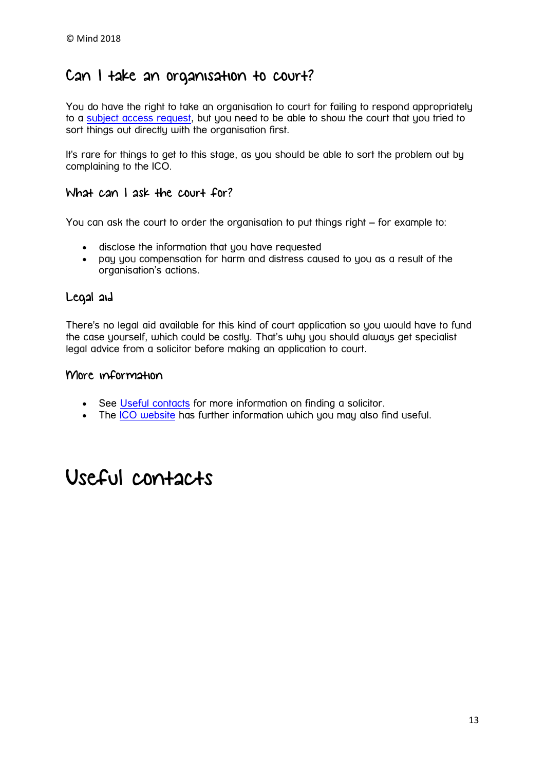### <span id="page-12-0"></span>Can I take an organisation to court?

You do have the right to take an organisation to court for failing to respond appropriately to a [subject access request,](https://www.mind.org.uk/information-support/new-legal-publications/my-personal-information-know-your-rights/terms-you-need-to-know/#Subject_Access_Request) but you need to be able to show the court that you tried to sort things out directly with the organisation first.

It's rare for things to get to this stage, as you should be able to sort the problem out by complaining to the ICO.

#### What can I ask the court for?

You can ask the court to order the organisation to put things right – for example to:

- disclose the information that you have requested
- pay you compensation for harm and distress caused to you as a result of the organisation's actions.

#### Legal aid

There's no legal aid available for this kind of court application so you would have to fund the case yourself, which could be costly. That's why you should always get specialist legal advice from a solicitor before making an application to court.

#### More information

- See [Useful contacts](https://www.mind.org.uk/information-support/legal-rights/personal-information/useful-contacts/) for more information on finding a solicitor.
- The [ICO website](https://ico.org.uk/for-the-public/compensation/) has further information which you may also find useful.

## Useful contacts